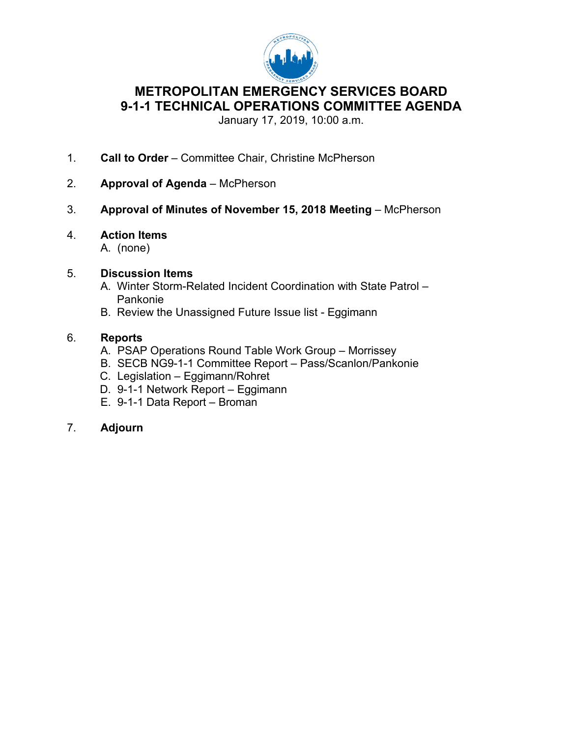

# **METROPOLITAN EMERGENCY SERVICES BOARD 9-1-1 TECHNICAL OPERATIONS COMMITTEE AGENDA**

January 17, 2019, 10:00 a.m.

- 1. **Call to Order** Committee Chair, Christine McPherson
- 2. **Approval of Agenda** McPherson
- 3. **Approval of Minutes of November 15, 2018 Meeting** McPherson
- 4. **Action Items**
	- A. (none)

# 5. **Discussion Items**

- A. Winter Storm-Related Incident Coordination with State Patrol Pankonie
- B. Review the Unassigned Future Issue list Eggimann

# 6. **Reports**

- A. PSAP Operations Round Table Work Group Morrissey
- B. SECB NG9-1-1 Committee Report Pass/Scanlon/Pankonie
- C. Legislation Eggimann/Rohret
- D. 9-1-1 Network Report Eggimann
- E. 9-1-1 Data Report Broman

# 7. **Adjourn**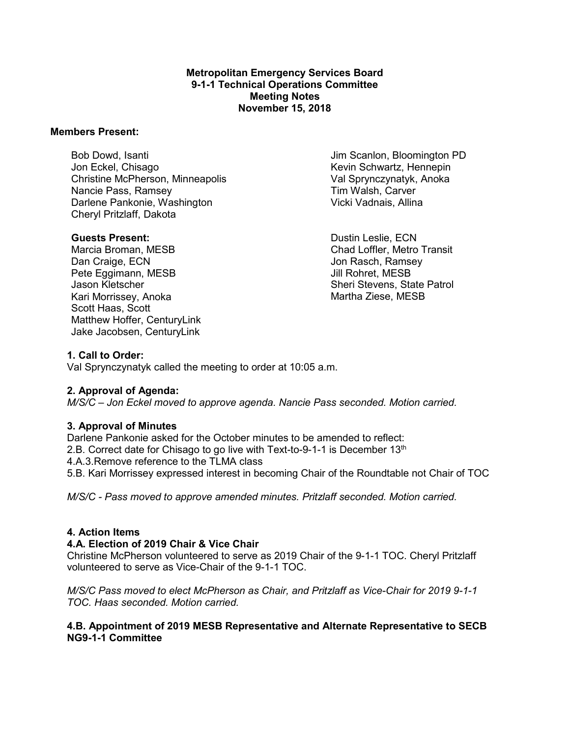### **Metropolitan Emergency Services Board 9-1-1 Technical Operations Committee Meeting Notes November 15, 2018**

#### **Members Present:**

Bob Dowd, Isanti Jon Eckel, Chisago Christine McPherson, Minneapolis Nancie Pass, Ramsey Darlene Pankonie, Washington Cheryl Pritzlaff, Dakota

### **Guests Present:**

Marcia Broman, MESB Dan Craige, ECN Pete Eggimann, MESB Jason Kletscher Kari Morrissey, Anoka Scott Haas, Scott Matthew Hoffer, CenturyLink Jake Jacobsen, CenturyLink

Jim Scanlon, Bloomington PD Kevin Schwartz, Hennepin Val Sprynczynatyk, Anoka Tim Walsh, Carver Vicki Vadnais, Allina

Dustin Leslie, ECN Chad Loffler, Metro Transit Jon Rasch, Ramsey Jill Rohret, MESB Sheri Stevens, State Patrol Martha Ziese, MESB

### **1. Call to Order:**

Val Sprynczynatyk called the meeting to order at 10:05 a.m.

### **2. Approval of Agenda:**

*M/S/C – Jon Eckel moved to approve agenda. Nancie Pass seconded. Motion carried.*

### **3. Approval of Minutes**

Darlene Pankonie asked for the October minutes to be amended to reflect: 2.B. Correct date for Chisago to go live with Text-to-9-1-1 is December 13<sup>th</sup> 4.A.3.Remove reference to the TLMA class 5.B. Kari Morrissey expressed interest in becoming Chair of the Roundtable not Chair of TOC

*M/S/C - Pass moved to approve amended minutes. Pritzlaff seconded. Motion carried.*

### **4. Action Items**

### **4.A. Election of 2019 Chair & Vice Chair**

Christine McPherson volunteered to serve as 2019 Chair of the 9-1-1 TOC. Cheryl Pritzlaff volunteered to serve as Vice-Chair of the 9-1-1 TOC.

*M/S/C Pass moved to elect McPherson as Chair, and Pritzlaff as Vice-Chair for 2019 9-1-1 TOC. Haas seconded. Motion carried.*

## **4.B. Appointment of 2019 MESB Representative and Alternate Representative to SECB NG9-1-1 Committee**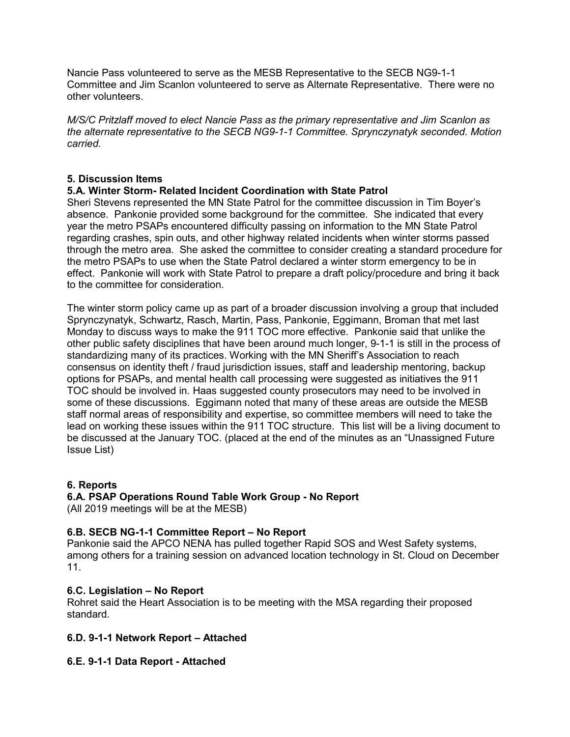Nancie Pass volunteered to serve as the MESB Representative to the SECB NG9-1-1 Committee and Jim Scanlon volunteered to serve as Alternate Representative. There were no other volunteers.

*M/S/C Pritzlaff moved to elect Nancie Pass as the primary representative and Jim Scanlon as the alternate representative to the SECB NG9-1-1 Committee. Sprynczynatyk seconded. Motion carried.*

## **5. Discussion Items**

## **5.A. Winter Storm- Related Incident Coordination with State Patrol**

Sheri Stevens represented the MN State Patrol for the committee discussion in Tim Boyer's absence. Pankonie provided some background for the committee. She indicated that every year the metro PSAPs encountered difficulty passing on information to the MN State Patrol regarding crashes, spin outs, and other highway related incidents when winter storms passed through the metro area. She asked the committee to consider creating a standard procedure for the metro PSAPs to use when the State Patrol declared a winter storm emergency to be in effect. Pankonie will work with State Patrol to prepare a draft policy/procedure and bring it back to the committee for consideration.

The winter storm policy came up as part of a broader discussion involving a group that included Sprynczynatyk, Schwartz, Rasch, Martin, Pass, Pankonie, Eggimann, Broman that met last Monday to discuss ways to make the 911 TOC more effective. Pankonie said that unlike the other public safety disciplines that have been around much longer, 9-1-1 is still in the process of standardizing many of its practices. Working with the MN Sheriff's Association to reach consensus on identity theft / fraud jurisdiction issues, staff and leadership mentoring, backup options for PSAPs, and mental health call processing were suggested as initiatives the 911 TOC should be involved in. Haas suggested county prosecutors may need to be involved in some of these discussions. Eggimann noted that many of these areas are outside the MESB staff normal areas of responsibility and expertise, so committee members will need to take the lead on working these issues within the 911 TOC structure. This list will be a living document to be discussed at the January TOC. (placed at the end of the minutes as an "Unassigned Future Issue List)

## **6. Reports**

### **6.A. PSAP Operations Round Table Work Group - No Report**

(All 2019 meetings will be at the MESB)

## **6.B. SECB NG-1-1 Committee Report – No Report**

Pankonie said the APCO NENA has pulled together Rapid SOS and West Safety systems, among others for a training session on advanced location technology in St. Cloud on December 11.

### **6.C. Legislation – No Report**

Rohret said the Heart Association is to be meeting with the MSA regarding their proposed standard.

## **6.D. 9-1-1 Network Report – Attached**

## **6.E. 9-1-1 Data Report - Attached**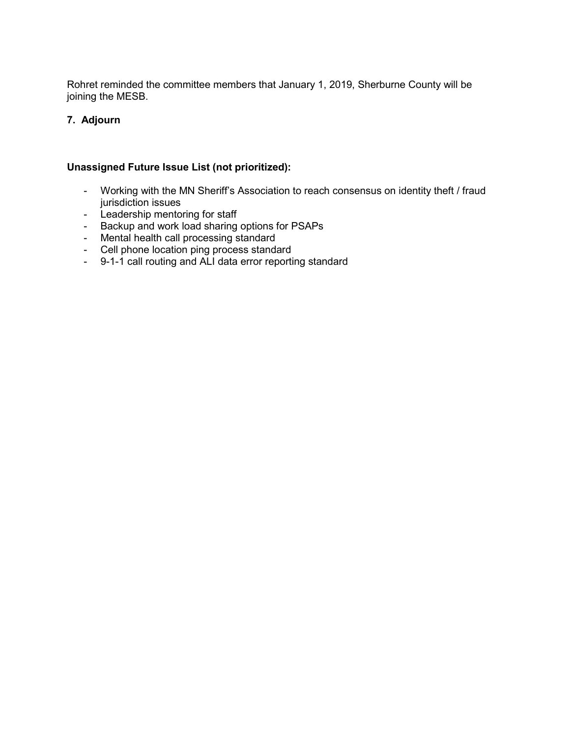Rohret reminded the committee members that January 1, 2019, Sherburne County will be joining the MESB.

## **7. Adjourn**

## **Unassigned Future Issue List (not prioritized):**

- Working with the MN Sheriff's Association to reach consensus on identity theft / fraud jurisdiction issues
- Leadership mentoring for staff
- Backup and work load sharing options for PSAPs
- Mental health call processing standard
- Cell phone location ping process standard
- 9-1-1 call routing and ALI data error reporting standard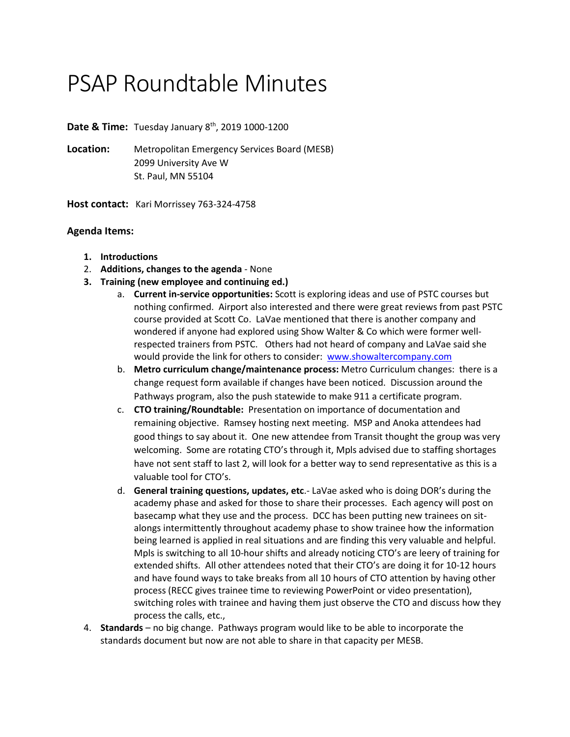# PSAP Roundtable Minutes

**Date & Time:** Tuesday January 8<sup>th</sup>, 2019 1000-1200

**Location:** Metropolitan Emergency Services Board (MESB) 2099 University Ave W St. Paul, MN 55104

**Host contact:** Kari Morrissey 763-324-4758

## **Agenda Items:**

- **1. Introductions**
- 2. **Additions, changes to the agenda** None
- **3. Training (new employee and continuing ed.)**
	- a. **Current in-service opportunities:** Scott is exploring ideas and use of PSTC courses but nothing confirmed. Airport also interested and there were great reviews from past PSTC course provided at Scott Co. LaVae mentioned that there is another company and wondered if anyone had explored using Show Walter & Co which were former wellrespected trainers from PSTC. Others had not heard of company and LaVae said she would provide the link for others to consider: [www.showaltercompany.com](http://www.showaltercompany.com/)
	- b. **Metro curriculum change/maintenance process:** Metro Curriculum changes: there is a change request form available if changes have been noticed. Discussion around the Pathways program, also the push statewide to make 911 a certificate program.
	- c. **CTO training/Roundtable:** Presentation on importance of documentation and remaining objective. Ramsey hosting next meeting. MSP and Anoka attendees had good things to say about it. One new attendee from Transit thought the group was very welcoming. Some are rotating CTO's through it, Mpls advised due to staffing shortages have not sent staff to last 2, will look for a better way to send representative as this is a valuable tool for CTO's.
	- d. **General training questions, updates, etc**.- LaVae asked who is doing DOR's during the academy phase and asked for those to share their processes. Each agency will post on basecamp what they use and the process. DCC has been putting new trainees on sitalongs intermittently throughout academy phase to show trainee how the information being learned is applied in real situations and are finding this very valuable and helpful. Mpls is switching to all 10-hour shifts and already noticing CTO's are leery of training for extended shifts. All other attendees noted that their CTO's are doing it for 10-12 hours and have found ways to take breaks from all 10 hours of CTO attention by having other process (RECC gives trainee time to reviewing PowerPoint or video presentation), switching roles with trainee and having them just observe the CTO and discuss how they process the calls, etc.,
- 4. **Standards** no big change. Pathways program would like to be able to incorporate the standards document but now are not able to share in that capacity per MESB.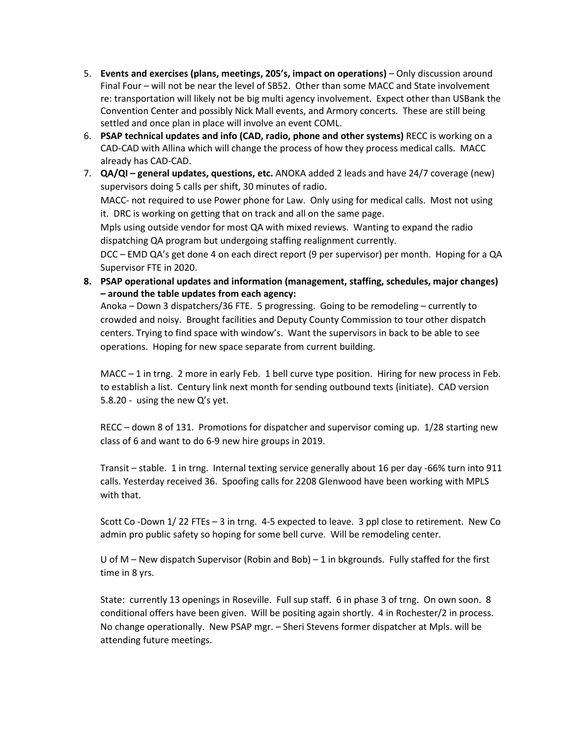- 5. **Events and exercises (plans, meetings, 205's, impact on operations)** Only discussion around Final Four – will not be near the level of SB52. Other than some MACC and State involvement re: transportation will likely not be big multi agency involvement. Expect other than USBank the Convention Center and possibly Nick Mall events, and Armory concerts. These are still being settled and once plan in place will involve an event COML.
- 6. **PSAP technical updates and info (CAD, radio, phone and other systems)** RECC is working on a CAD-CAD with Allina which will change the process of how they process medical calls. MACC already has CAD-CAD.
- 7. **QA/QI – general updates, questions, etc.** ANOKA added 2 leads and have 24/7 coverage (new) supervisors doing 5 calls per shift, 30 minutes of radio.

MACC- not required to use Power phone for Law. Only using for medical calls. Most not using it. DRC is working on getting that on track and all on the same page.

Mpls using outside vendor for most QA with mixed reviews. Wanting to expand the radio dispatching QA program but undergoing staffing realignment currently.

DCC – EMD QA's get done 4 on each direct report (9 per supervisor) per month. Hoping for a QA Supervisor FTE in 2020.

**8. PSAP operational updates and information (management, staffing, schedules, major changes) – around the table updates from each agency:**

Anoka – Down 3 dispatchers/36 FTE. 5 progressing. Going to be remodeling – currently to crowded and noisy. Brought facilities and Deputy County Commission to tour other dispatch centers. Trying to find space with window's. Want the supervisors in back to be able to see operations. Hoping for new space separate from current building.

MACC – 1 in trng. 2 more in early Feb. 1 bell curve type position. Hiring for new process in Feb. to establish a list. Century link next month for sending outbound texts (initiate). CAD version 5.8.20 - using the new Q's yet.

RECC – down 8 of 131. Promotions for dispatcher and supervisor coming up. 1/28 starting new class of 6 and want to do 6-9 new hire groups in 2019.

Transit – stable. 1 in trng. Internal texting service generally about 16 per day -66% turn into 911 calls. Yesterday received 36. Spoofing calls for 2208 Glenwood have been working with MPLS with that.

Scott Co -Down 1/ 22 FTEs – 3 in trng. 4-5 expected to leave. 3 ppl close to retirement. New Co admin pro public safety so hoping for some bell curve. Will be remodeling center.

U of M – New dispatch Supervisor (Robin and Bob) – 1 in bkgrounds. Fully staffed for the first time in 8 yrs.

State: currently 13 openings in Roseville. Full sup staff. 6 in phase 3 of trng. On own soon. 8 conditional offers have been given. Will be positing again shortly. 4 in Rochester/2 in process. No change operationally. New PSAP mgr. – Sheri Stevens former dispatcher at Mpls. will be attending future meetings.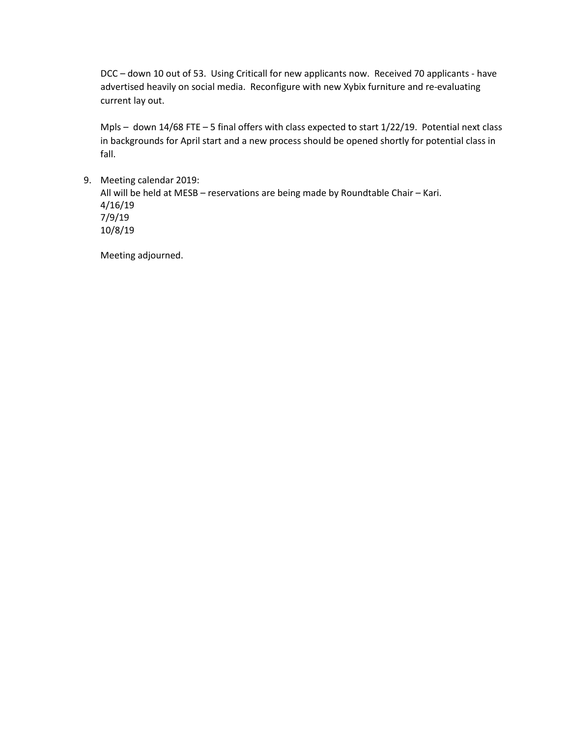DCC – down 10 out of 53. Using Criticall for new applicants now. Received 70 applicants - have advertised heavily on social media. Reconfigure with new Xybix furniture and re-evaluating current lay out.

Mpls – down 14/68 FTE – 5 final offers with class expected to start 1/22/19. Potential next class in backgrounds for April start and a new process should be opened shortly for potential class in fall.

9. Meeting calendar 2019: All will be held at MESB – reservations are being made by Roundtable Chair – Kari. 4/16/19

7/9/19 10/8/19

Meeting adjourned.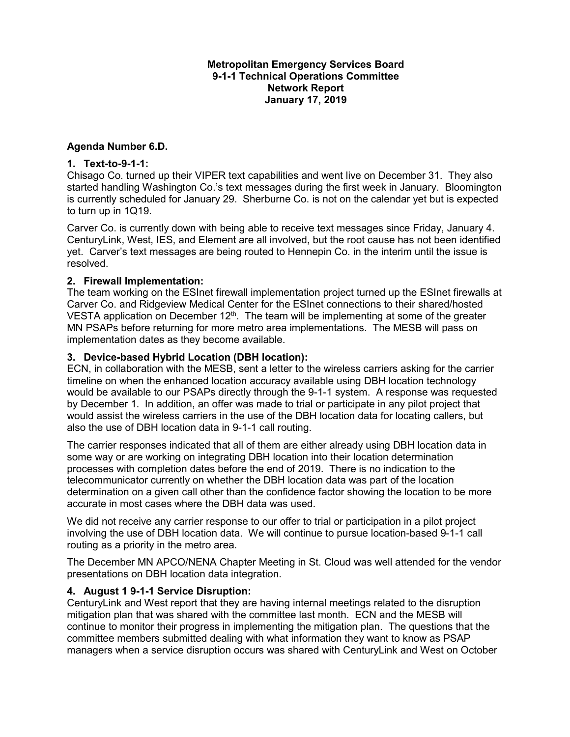## **Metropolitan Emergency Services Board 9-1-1 Technical Operations Committee Network Report January 17, 2019**

## **Agenda Number 6.D.**

### **1. Text-to-9-1-1:**

Chisago Co. turned up their VIPER text capabilities and went live on December 31. They also started handling Washington Co.'s text messages during the first week in January. Bloomington is currently scheduled for January 29. Sherburne Co. is not on the calendar yet but is expected to turn up in 1Q19.

Carver Co. is currently down with being able to receive text messages since Friday, January 4. CenturyLink, West, IES, and Element are all involved, but the root cause has not been identified yet. Carver's text messages are being routed to Hennepin Co. in the interim until the issue is resolved.

### **2. Firewall Implementation:**

The team working on the ESInet firewall implementation project turned up the ESInet firewalls at Carver Co. and Ridgeview Medical Center for the ESInet connections to their shared/hosted VESTA application on December  $12<sup>th</sup>$ . The team will be implementing at some of the greater MN PSAPs before returning for more metro area implementations. The MESB will pass on implementation dates as they become available.

## **3. Device-based Hybrid Location (DBH location):**

ECN, in collaboration with the MESB, sent a letter to the wireless carriers asking for the carrier timeline on when the enhanced location accuracy available using DBH location technology would be available to our PSAPs directly through the 9-1-1 system. A response was requested by December 1. In addition, an offer was made to trial or participate in any pilot project that would assist the wireless carriers in the use of the DBH location data for locating callers, but also the use of DBH location data in 9-1-1 call routing.

The carrier responses indicated that all of them are either already using DBH location data in some way or are working on integrating DBH location into their location determination processes with completion dates before the end of 2019. There is no indication to the telecommunicator currently on whether the DBH location data was part of the location determination on a given call other than the confidence factor showing the location to be more accurate in most cases where the DBH data was used.

We did not receive any carrier response to our offer to trial or participation in a pilot project involving the use of DBH location data. We will continue to pursue location-based 9-1-1 call routing as a priority in the metro area.

The December MN APCO/NENA Chapter Meeting in St. Cloud was well attended for the vendor presentations on DBH location data integration.

### **4. August 1 9-1-1 Service Disruption:**

CenturyLink and West report that they are having internal meetings related to the disruption mitigation plan that was shared with the committee last month. ECN and the MESB will continue to monitor their progress in implementing the mitigation plan. The questions that the committee members submitted dealing with what information they want to know as PSAP managers when a service disruption occurs was shared with CenturyLink and West on October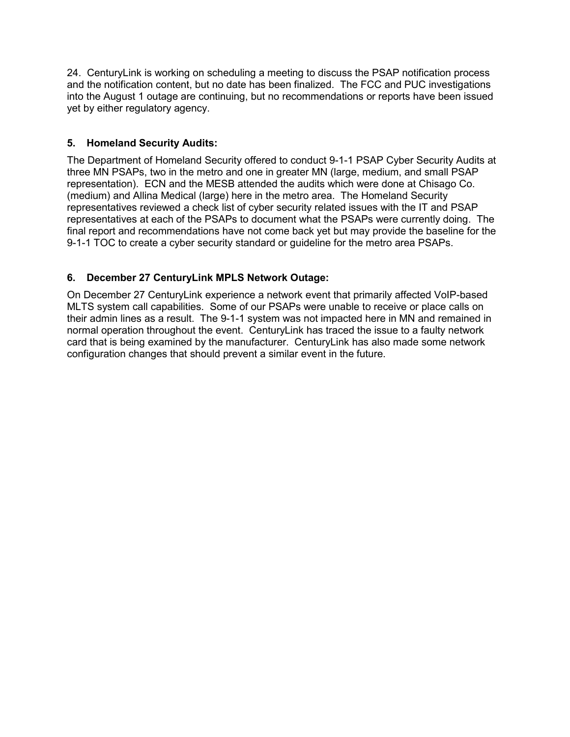24. CenturyLink is working on scheduling a meeting to discuss the PSAP notification process and the notification content, but no date has been finalized. The FCC and PUC investigations into the August 1 outage are continuing, but no recommendations or reports have been issued yet by either regulatory agency.

# **5. Homeland Security Audits:**

The Department of Homeland Security offered to conduct 9-1-1 PSAP Cyber Security Audits at three MN PSAPs, two in the metro and one in greater MN (large, medium, and small PSAP representation). ECN and the MESB attended the audits which were done at Chisago Co. (medium) and Allina Medical (large) here in the metro area. The Homeland Security representatives reviewed a check list of cyber security related issues with the IT and PSAP representatives at each of the PSAPs to document what the PSAPs were currently doing. The final report and recommendations have not come back yet but may provide the baseline for the 9-1-1 TOC to create a cyber security standard or guideline for the metro area PSAPs.

# **6. December 27 CenturyLink MPLS Network Outage:**

On December 27 CenturyLink experience a network event that primarily affected VoIP-based MLTS system call capabilities. Some of our PSAPs were unable to receive or place calls on their admin lines as a result. The 9-1-1 system was not impacted here in MN and remained in normal operation throughout the event. CenturyLink has traced the issue to a faulty network card that is being examined by the manufacturer. CenturyLink has also made some network configuration changes that should prevent a similar event in the future.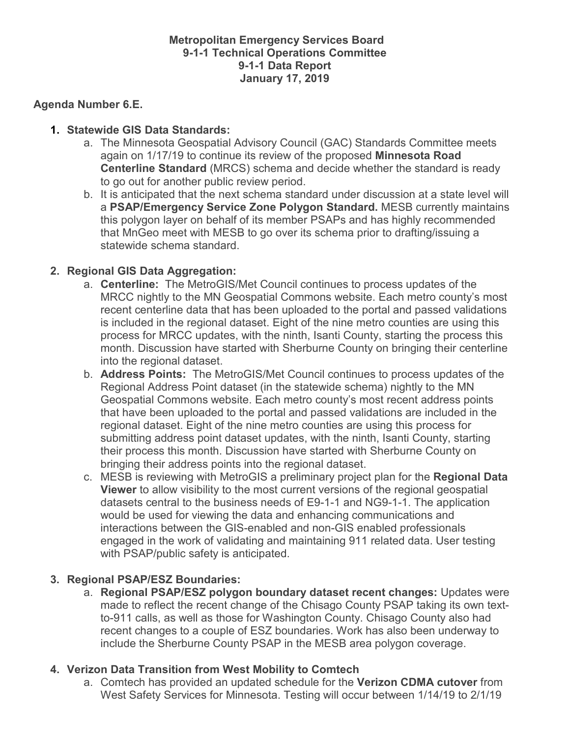# **Metropolitan Emergency Services Board 9-1-1 Technical Operations Committee 9-1-1 Data Report January 17, 2019**

# **Agenda Number 6.E.**

# **1. Statewide GIS Data Standards:**

- a. The Minnesota Geospatial Advisory Council (GAC) Standards Committee meets again on 1/17/19 to continue its review of the proposed **Minnesota Road Centerline Standard** (MRCS) schema and decide whether the standard is ready to go out for another public review period.
- b. It is anticipated that the next schema standard under discussion at a state level will a **PSAP/Emergency Service Zone Polygon Standard.** MESB currently maintains this polygon layer on behalf of its member PSAPs and has highly recommended that MnGeo meet with MESB to go over its schema prior to drafting/issuing a statewide schema standard.

# **2. Regional GIS Data Aggregation:**

- a. **Centerline:** The MetroGIS/Met Council continues to process updates of the MRCC nightly to the MN Geospatial Commons website. Each metro county's most recent centerline data that has been uploaded to the portal and passed validations is included in the regional dataset. Eight of the nine metro counties are using this process for MRCC updates, with the ninth, Isanti County, starting the process this month. Discussion have started with Sherburne County on bringing their centerline into the regional dataset.
- b. **Address Points:** The MetroGIS/Met Council continues to process updates of the Regional Address Point dataset (in the statewide schema) nightly to the MN Geospatial Commons website. Each metro county's most recent address points that have been uploaded to the portal and passed validations are included in the regional dataset. Eight of the nine metro counties are using this process for submitting address point dataset updates, with the ninth, Isanti County, starting their process this month. Discussion have started with Sherburne County on bringing their address points into the regional dataset.
- c. MESB is reviewing with MetroGIS a preliminary project plan for the **Regional Data Viewer** to allow visibility to the most current versions of the regional geospatial datasets central to the business needs of E9-1-1 and NG9-1-1. The application would be used for viewing the data and enhancing communications and interactions between the GIS-enabled and non-GIS enabled professionals engaged in the work of validating and maintaining 911 related data. User testing with PSAP/public safety is anticipated.

# **3. Regional PSAP/ESZ Boundaries:**

a. **Regional PSAP/ESZ polygon boundary dataset recent changes:** Updates were made to reflect the recent change of the Chisago County PSAP taking its own textto-911 calls, as well as those for Washington County. Chisago County also had recent changes to a couple of ESZ boundaries. Work has also been underway to include the Sherburne County PSAP in the MESB area polygon coverage.

# **4. Verizon Data Transition from West Mobility to Comtech**

a. Comtech has provided an updated schedule for the **Verizon CDMA cutover** from West Safety Services for Minnesota. Testing will occur between 1/14/19 to 2/1/19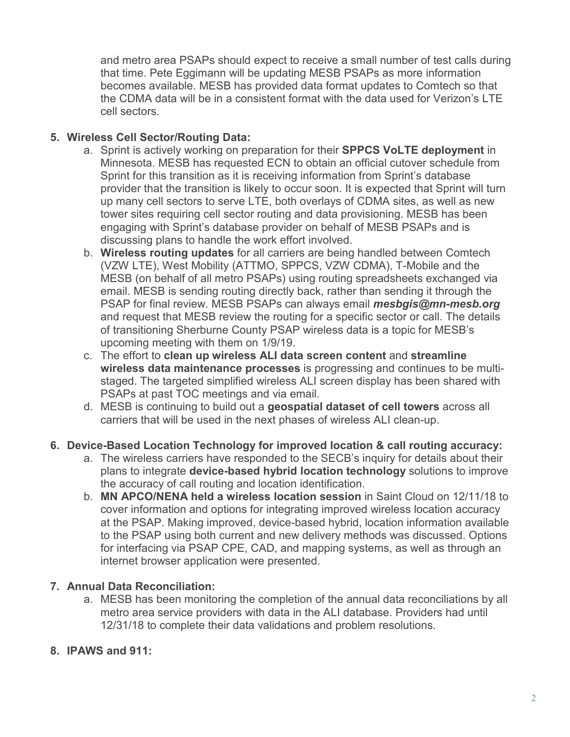and metro area PSAPs should expect to receive a small number of test calls during that time. Pete Eggimann will be updating MESB PSAPs as more information becomes available. MESB has provided data format updates to Comtech so that the CDMA data will be in a consistent format with the data used for Verizon's LTE cell sectors.

# **5. Wireless Cell Sector/Routing Data:**

- a. Sprint is actively working on preparation for their **SPPCS VoLTE deployment** in Minnesota. MESB has requested ECN to obtain an official cutover schedule from Sprint for this transition as it is receiving information from Sprint's database provider that the transition is likely to occur soon. It is expected that Sprint will turn up many cell sectors to serve LTE, both overlays of CDMA sites, as well as new tower sites requiring cell sector routing and data provisioning. MESB has been engaging with Sprint's database provider on behalf of MESB PSAPs and is discussing plans to handle the work effort involved.
- b. **Wireless routing updates** for all carriers are being handled between Comtech (VZW LTE), West Mobility (ATTMO, SPPCS, VZW CDMA), T-Mobile and the MESB (on behalf of all metro PSAPs) using routing spreadsheets exchanged via email. MESB is sending routing directly back, rather than sending it through the PSAP for final review. MESB PSAPs can always email *mesbgis@mn-mesb.org* and request that MESB review the routing for a specific sector or call. The details of transitioning Sherburne County PSAP wireless data is a topic for MESB's upcoming meeting with them on 1/9/19.
- c. The effort to **clean up wireless ALI data screen content** and **streamline wireless data maintenance processes** is progressing and continues to be multistaged. The targeted simplified wireless ALI screen display has been shared with PSAPs at past TOC meetings and via email.
- d. MESB is continuing to build out a **geospatial dataset of cell towers** across all carriers that will be used in the next phases of wireless ALI clean-up.

# **6. Device-Based Location Technology for improved location & call routing accuracy:**

- a. The wireless carriers have responded to the SECB's inquiry for details about their plans to integrate **device-based hybrid location technology** solutions to improve the accuracy of call routing and location identification.
- b. **MN APCO/NENA held a wireless location session** in Saint Cloud on 12/11/18 to cover information and options for integrating improved wireless location accuracy at the PSAP. Making improved, device-based hybrid, location information available to the PSAP using both current and new delivery methods was discussed. Options for interfacing via PSAP CPE, CAD, and mapping systems, as well as through an internet browser application were presented.

# **7. Annual Data Reconciliation:**

a. MESB has been monitoring the completion of the annual data reconciliations by all metro area service providers with data in the ALI database. Providers had until 12/31/18 to complete their data validations and problem resolutions.

# **8. IPAWS and 911:**